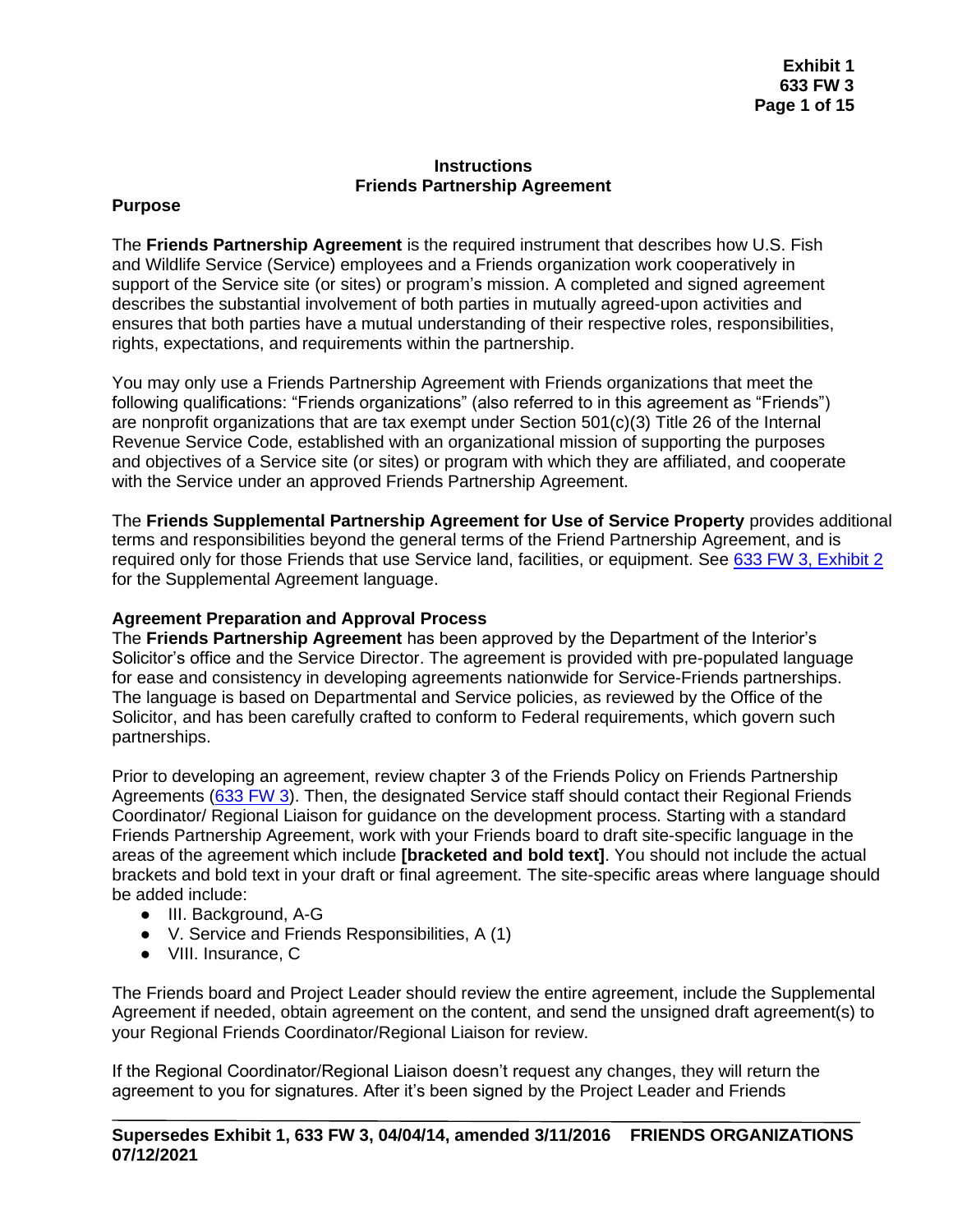#### **Instructions Friends Partnership Agreement**

### **Purpose**

The **Friends Partnership Agreement** is the required instrument that describes how U.S. Fish and Wildlife Service (Service) employees and a Friends organization work cooperatively in support of the Service site (or sites) or program's mission. A completed and signed agreement describes the substantial involvement of both parties in mutually agreed-upon activities and ensures that both parties have a mutual understanding of their respective roles, responsibilities, rights, expectations, and requirements within the partnership.

You may only use a Friends Partnership Agreement with Friends organizations that meet the following qualifications: "Friends organizations" (also referred to in this agreement as "Friends") are nonprofit organizations that are tax exempt under Section 501(c)(3) Title 26 of the Internal Revenue Service Code, established with an organizational mission of supporting the purposes and objectives of a Service site (or sites) or program with which they are affiliated, and cooperate with the Service under an approved Friends Partnership Agreement.

The **Friends Supplemental Partnership Agreement for Use of Service Property** provides additional terms and responsibilities beyond the general terms of the Friend Partnership Agreement, and is required only for those Friends that use Service land, facilities, or equipment. See [633 FW 3, Exhibit 2](https://www.fws.gov/policy/e2633fw3.html) for the Supplemental Agreement language.

### **Agreement Preparation and Approval Process**

The **Friends Partnership Agreement** has been approved by the Department of the Interior's Solicitor's office and the Service Director. The agreement is provided with pre-populated language for ease and consistency in developing agreements nationwide for Service-Friends partnerships. The language is based on Departmental and Service policies, as reviewed by the Office of the Solicitor, and has been carefully crafted to conform to Federal requirements, which govern such partnerships.

Prior to developing an agreement, review chapter 3 of the Friends Policy on Friends Partnership Agreements [\(633 FW 3\)](https://www.fws.gov/policy/633fw3.html). Then, the designated Service staff should contact their Regional Friends Coordinator/ Regional Liaison for guidance on the development process. Starting with a standard Friends Partnership Agreement, work with your Friends board to draft site-specific language in the areas of the agreement which include **[bracketed and bold text]**. You should not include the actual brackets and bold text in your draft or final agreement. The site-specific areas where language should be added include:

- III. Background, A-G
- V. Service and Friends Responsibilities, A (1)
- VIII. Insurance, C

The Friends board and Project Leader should review the entire agreement, include the Supplemental Agreement if needed, obtain agreement on the content, and send the unsigned draft agreement(s) to your Regional Friends Coordinator/Regional Liaison for review.

If the Regional Coordinator/Regional Liaison doesn't request any changes, they will return the agreement to you for signatures. After it's been signed by the Project Leader and Friends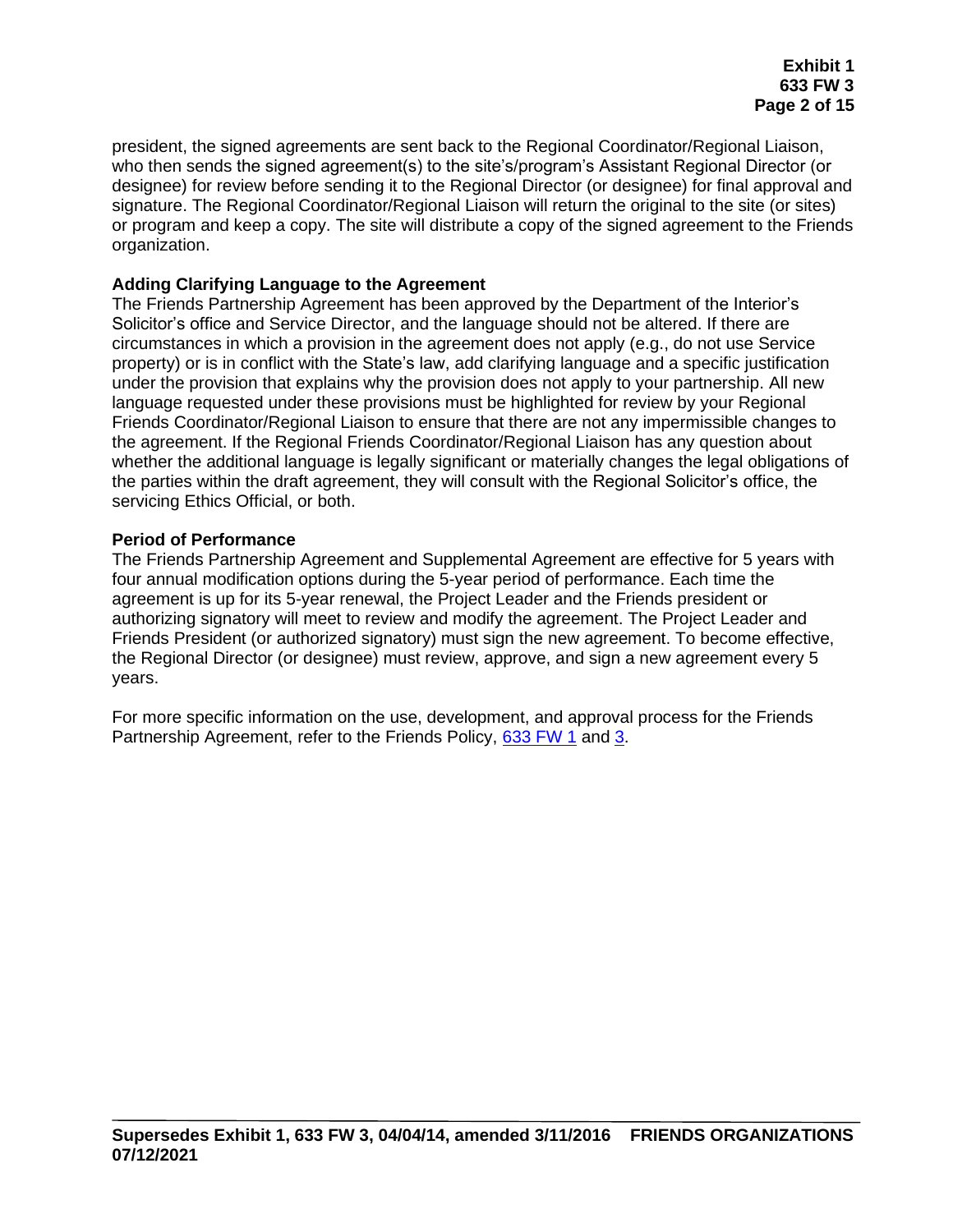president, the signed agreements are sent back to the Regional Coordinator/Regional Liaison, who then sends the signed agreement(s) to the site's/program's Assistant Regional Director (or designee) for review before sending it to the Regional Director (or designee) for final approval and signature. The Regional Coordinator/Regional Liaison will return the original to the site (or sites) or program and keep a copy. The site will distribute a copy of the signed agreement to the Friends organization.

### **Adding Clarifying Language to the Agreement**

The Friends Partnership Agreement has been approved by the Department of the Interior's Solicitor's office and Service Director, and the language should not be altered. If there are circumstances in which a provision in the agreement does not apply (e.g., do not use Service property) or is in conflict with the State's law, add clarifying language and a specific justification under the provision that explains why the provision does not apply to your partnership. All new language requested under these provisions must be highlighted for review by your Regional Friends Coordinator/Regional Liaison to ensure that there are not any impermissible changes to the agreement. If the Regional Friends Coordinator/Regional Liaison has any question about whether the additional language is legally significant or materially changes the legal obligations of the parties within the draft agreement, they will consult with the Regional Solicitor's office, the servicing Ethics Official, or both.

### **Period of Performance**

The Friends Partnership Agreement and Supplemental Agreement are effective for 5 years with four annual modification options during the 5-year period of performance. Each time the agreement is up for its 5-year renewal, the Project Leader and the Friends president or authorizing signatory will meet to review and modify the agreement. The Project Leader and Friends President (or authorized signatory) must sign the new agreement. To become effective, the Regional Director (or designee) must review, approve, and sign a new agreement every 5 years.

For more specific information on the use, development, and approval process for the Friends Partnership Agreement, refer to the Friends Policy, [633 FW 1](https://www.fws.gov/policy/633fw1.html) and [3.](https://www.fws.gov/policy/633fw3.html)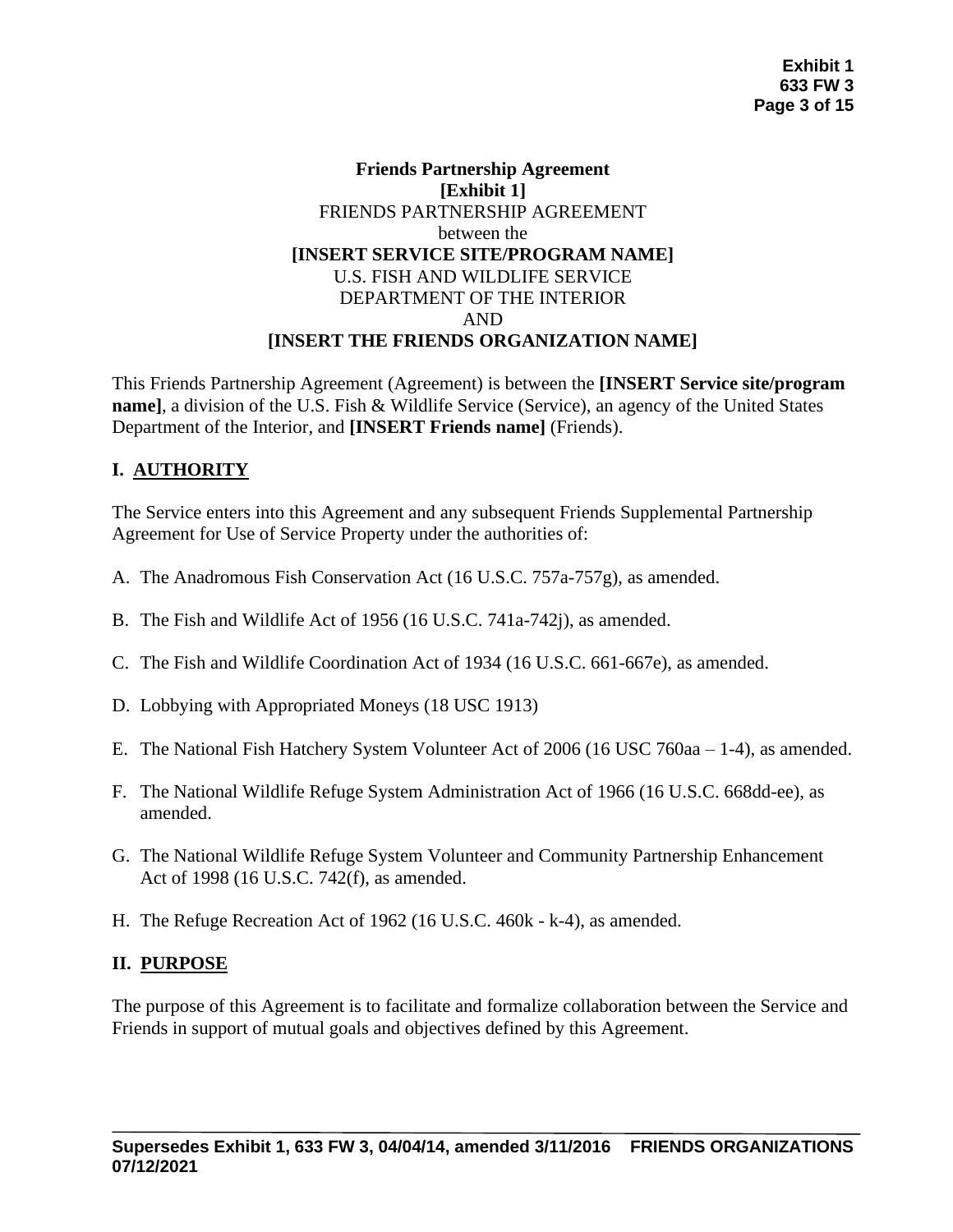### **Friends Partnership Agreement [Exhibit 1]** FRIENDS PARTNERSHIP AGREEMENT between the **[INSERT SERVICE SITE/PROGRAM NAME]** U.S. FISH AND WILDLIFE SERVICE DEPARTMENT OF THE INTERIOR AND **[INSERT THE FRIENDS ORGANIZATION NAME]**

This Friends Partnership Agreement (Agreement) is between the **[INSERT Service site/program name]**, a division of the U.S. Fish & Wildlife Service (Service), an agency of the United States Department of the Interior, and **[INSERT Friends name]** (Friends).

# **I. AUTHORITY**

The Service enters into this Agreement and any subsequent Friends Supplemental Partnership Agreement for Use of Service Property under the authorities of:

- A. The Anadromous Fish Conservation Act (16 U.S.C. 757a-757g), as amended.
- B. The Fish and Wildlife Act of 1956 (16 U.S.C. 741a-742j), as amended.
- C. The Fish and Wildlife Coordination Act of 1934 (16 U.S.C. 661-667e), as amended.
- D. Lobbying with Appropriated Moneys (18 USC 1913)
- E. The National Fish Hatchery System Volunteer Act of 2006 (16 USC 760aa 1-4), as amended.
- F. The National Wildlife Refuge System Administration Act of 1966 (16 U.S.C. 668dd-ee), as amended.
- G. The National Wildlife Refuge System Volunteer and Community Partnership Enhancement Act of 1998 (16 U.S.C. 742(f), as amended.
- H. The Refuge Recreation Act of 1962 (16 U.S.C. 460k k-4), as amended.

# **II. PURPOSE**

The purpose of this Agreement is to facilitate and formalize collaboration between the Service and Friends in support of mutual goals and objectives defined by this Agreement.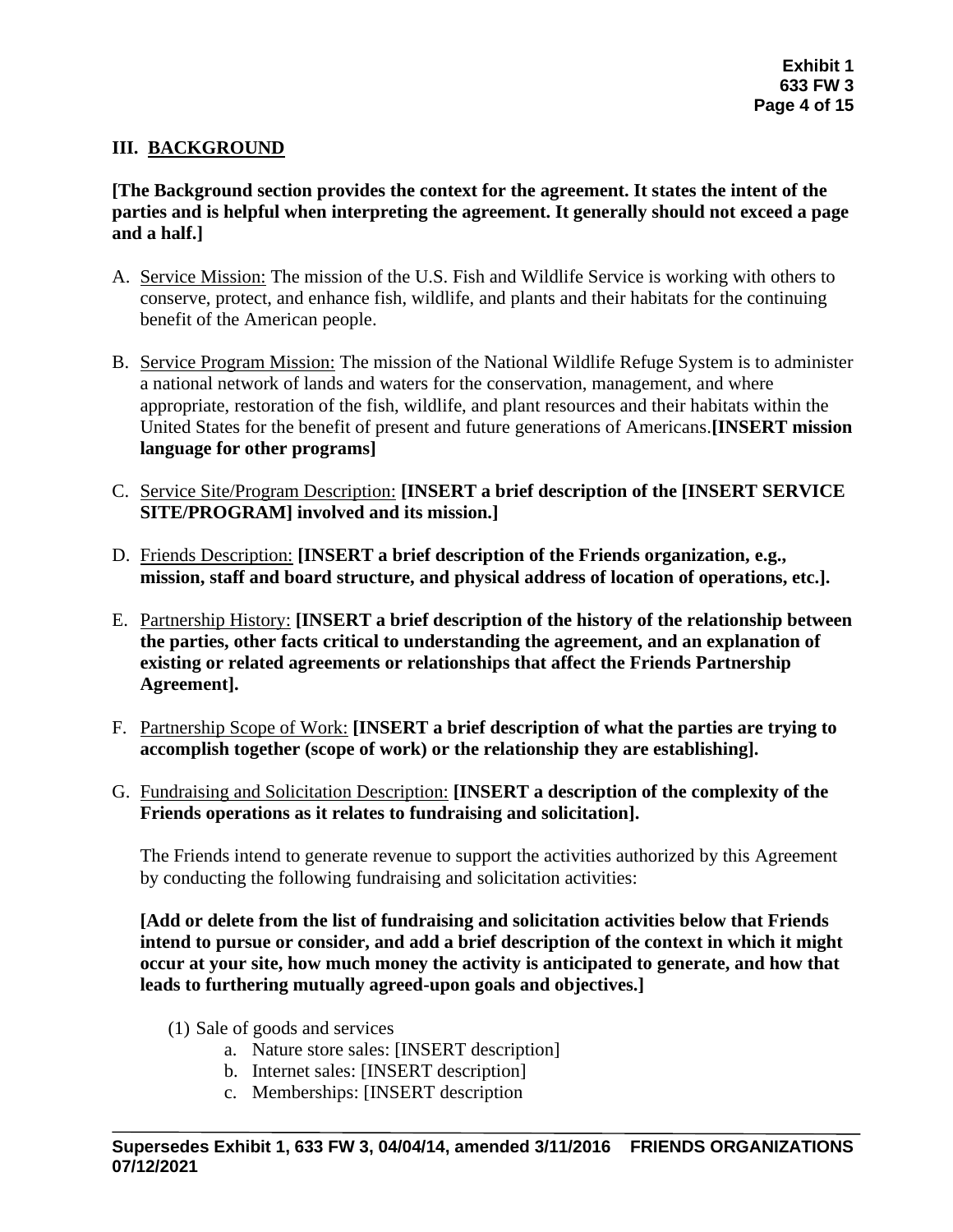### **III. BACKGROUND**

**[The Background section provides the context for the agreement. It states the intent of the parties and is helpful when interpreting the agreement. It generally should not exceed a page and a half.]**

- A. Service Mission: The mission of the U.S. Fish and Wildlife Service is working with others to conserve, protect, and enhance fish, wildlife, and plants and their habitats for the continuing benefit of the American people.
- B. Service Program Mission: The mission of the National Wildlife Refuge System is to administer a national network of lands and waters for the conservation, management, and where appropriate, restoration of the fish, wildlife, and plant resources and their habitats within the United States for the benefit of present and future generations of Americans.**[INSERT mission language for other programs]**
- C. Service Site/Program Description: **[INSERT a brief description of the [INSERT SERVICE SITE/PROGRAM] involved and its mission.]**
- D. Friends Description: **[INSERT a brief description of the Friends organization, e.g., mission, staff and board structure, and physical address of location of operations, etc.].**
- E. Partnership History: **[INSERT a brief description of the history of the relationship between the parties, other facts critical to understanding the agreement, and an explanation of existing or related agreements or relationships that affect the Friends Partnership Agreement].**
- F. Partnership Scope of Work: **[INSERT a brief description of what the parties are trying to accomplish together (scope of work) or the relationship they are establishing].**
- G. Fundraising and Solicitation Description: **[INSERT a description of the complexity of the Friends operations as it relates to fundraising and solicitation].**

The Friends intend to generate revenue to support the activities authorized by this Agreement by conducting the following fundraising and solicitation activities:

**[Add or delete from the list of fundraising and solicitation activities below that Friends intend to pursue or consider, and add a brief description of the context in which it might occur at your site, how much money the activity is anticipated to generate, and how that leads to furthering mutually agreed-upon goals and objectives.]**

- (1) Sale of goods and services
	- a. Nature store sales: [INSERT description]
	- b. Internet sales: [INSERT description]
	- c. Memberships: [INSERT description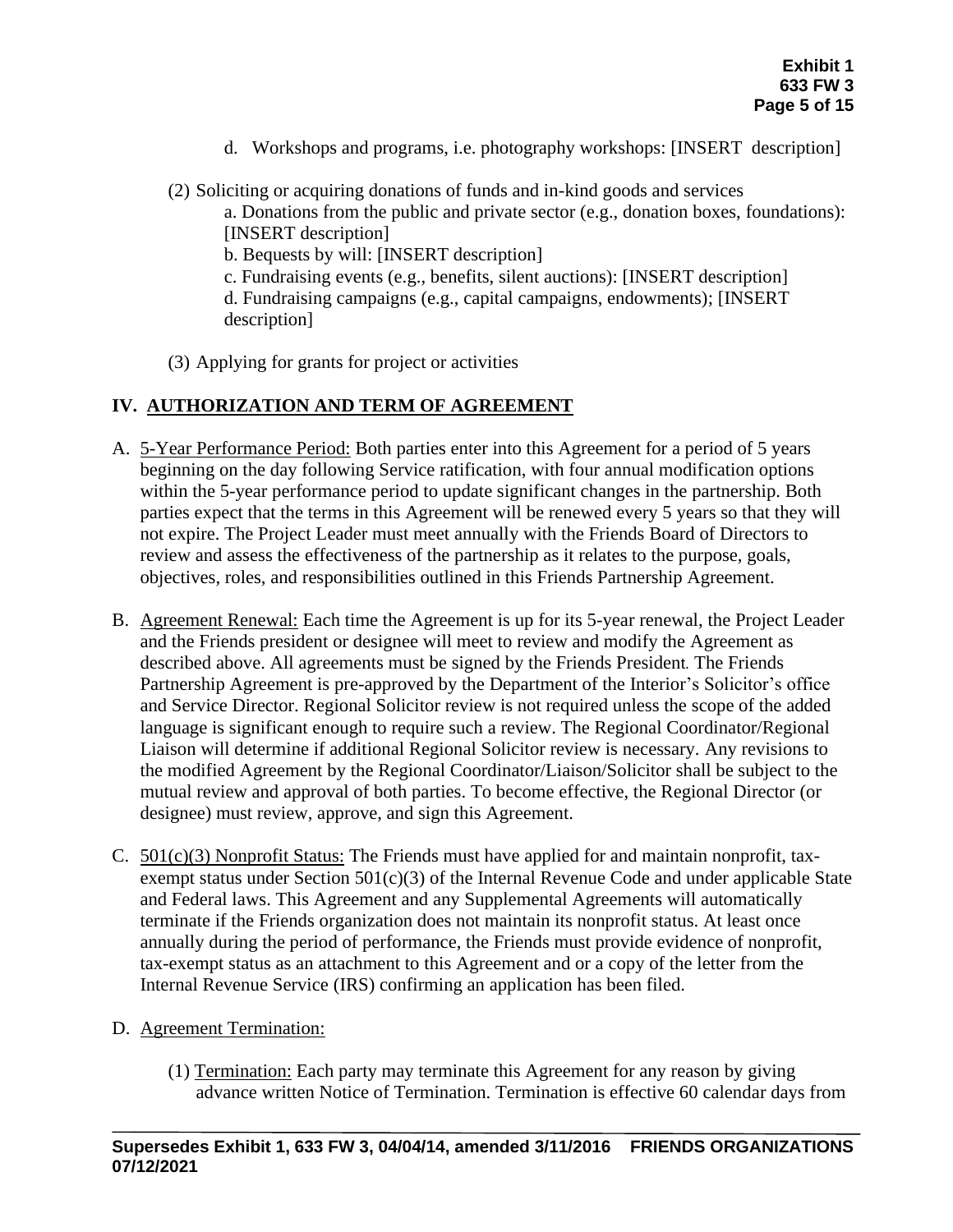- d. Workshops and programs, i.e. photography workshops: [INSERT description]
- (2) Soliciting or acquiring donations of funds and in-kind goods and services

a. Donations from the public and private sector (e.g., donation boxes, foundations): [INSERT description]

b. Bequests by will: [INSERT description]

c. Fundraising events (e.g., benefits, silent auctions): [INSERT description]

d. Fundraising campaigns (e.g., capital campaigns, endowments); [INSERT description]

(3) Applying for grants for project or activities

# **IV. AUTHORIZATION AND TERM OF AGREEMENT**

- A. 5-Year Performance Period: Both parties enter into this Agreement for a period of 5 years beginning on the day following Service ratification, with four annual modification options within the 5-year performance period to update significant changes in the partnership. Both parties expect that the terms in this Agreement will be renewed every 5 years so that they will not expire. The Project Leader must meet annually with the Friends Board of Directors to review and assess the effectiveness of the partnership as it relates to the purpose, goals, objectives, roles, and responsibilities outlined in this Friends Partnership Agreement.
- B. Agreement Renewal: Each time the Agreement is up for its 5-year renewal, the Project Leader and the Friends president or designee will meet to review and modify the Agreement as described above. All agreements must be signed by the Friends President. The Friends Partnership Agreement is pre-approved by the Department of the Interior's Solicitor's office and Service Director. Regional Solicitor review is not required unless the scope of the added language is significant enough to require such a review. The Regional Coordinator/Regional Liaison will determine if additional Regional Solicitor review is necessary. Any revisions to the modified Agreement by the Regional Coordinator/Liaison/Solicitor shall be subject to the mutual review and approval of both parties. To become effective, the Regional Director (or designee) must review, approve, and sign this Agreement.
- C. 501(c)(3) Nonprofit Status: The Friends must have applied for and maintain nonprofit, taxexempt status under Section  $501(c)(3)$  of the Internal Revenue Code and under applicable State and Federal laws. This Agreement and any Supplemental Agreements will automatically terminate if the Friends organization does not maintain its nonprofit status. At least once annually during the period of performance, the Friends must provide evidence of nonprofit, tax-exempt status as an attachment to this Agreement and or a copy of the letter from the Internal Revenue Service (IRS) confirming an application has been filed.
- D. Agreement Termination:
	- (1) Termination: Each party may terminate this Agreement for any reason by giving advance written Notice of Termination. Termination is effective 60 calendar days from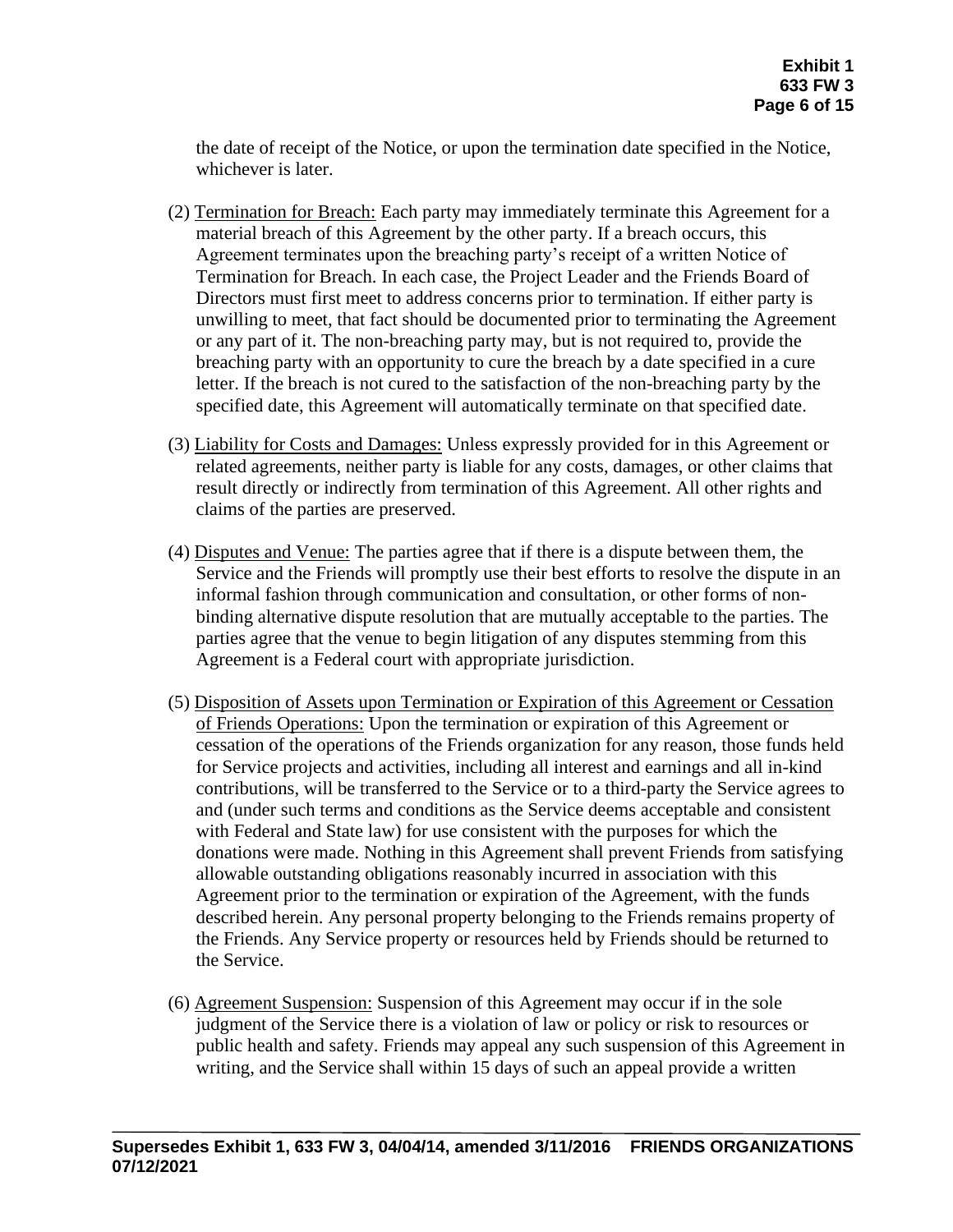the date of receipt of the Notice, or upon the termination date specified in the Notice, whichever is later.

- (2) Termination for Breach: Each party may immediately terminate this Agreement for a material breach of this Agreement by the other party. If a breach occurs, this Agreement terminates upon the breaching party's receipt of a written Notice of Termination for Breach. In each case, the Project Leader and the Friends Board of Directors must first meet to address concerns prior to termination. If either party is unwilling to meet, that fact should be documented prior to terminating the Agreement or any part of it. The non-breaching party may, but is not required to, provide the breaching party with an opportunity to cure the breach by a date specified in a cure letter. If the breach is not cured to the satisfaction of the non-breaching party by the specified date, this Agreement will automatically terminate on that specified date.
- (3) Liability for Costs and Damages: Unless expressly provided for in this Agreement or related agreements, neither party is liable for any costs, damages, or other claims that result directly or indirectly from termination of this Agreement. All other rights and claims of the parties are preserved.
- (4) Disputes and Venue: The parties agree that if there is a dispute between them, the Service and the Friends will promptly use their best efforts to resolve the dispute in an informal fashion through communication and consultation, or other forms of nonbinding alternative dispute resolution that are mutually acceptable to the parties. The parties agree that the venue to begin litigation of any disputes stemming from this Agreement is a Federal court with appropriate jurisdiction.
- (5) Disposition of Assets upon Termination or Expiration of this Agreement or Cessation of Friends Operations: Upon the termination or expiration of this Agreement or cessation of the operations of the Friends organization for any reason, those funds held for Service projects and activities, including all interest and earnings and all in-kind contributions, will be transferred to the Service or to a third-party the Service agrees to and (under such terms and conditions as the Service deems acceptable and consistent with Federal and State law) for use consistent with the purposes for which the donations were made. Nothing in this Agreement shall prevent Friends from satisfying allowable outstanding obligations reasonably incurred in association with this Agreement prior to the termination or expiration of the Agreement, with the funds described herein. Any personal property belonging to the Friends remains property of the Friends. Any Service property or resources held by Friends should be returned to the Service.
- (6) Agreement Suspension: Suspension of this Agreement may occur if in the sole judgment of the Service there is a violation of law or policy or risk to resources or public health and safety. Friends may appeal any such suspension of this Agreement in writing, and the Service shall within 15 days of such an appeal provide a written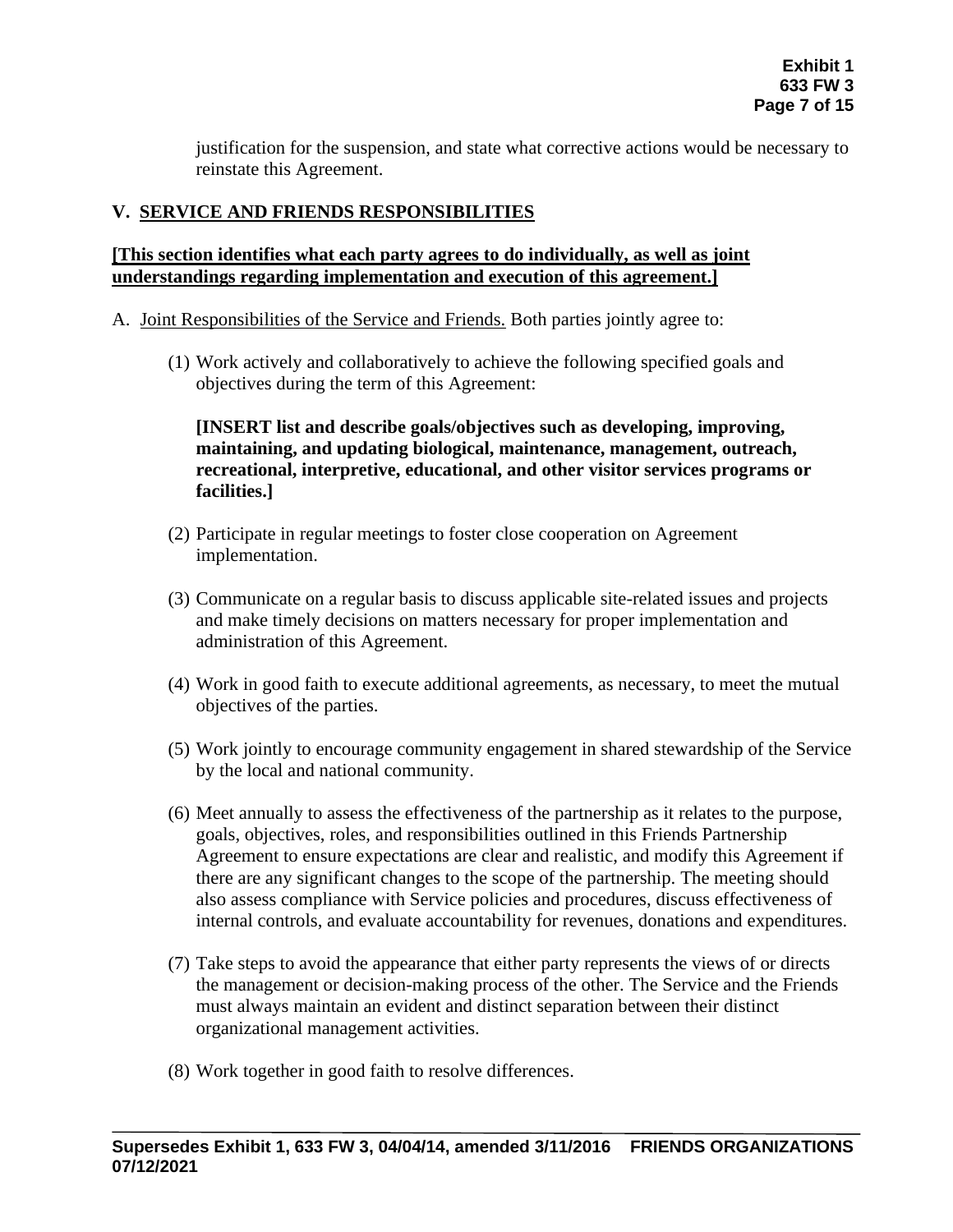justification for the suspension, and state what corrective actions would be necessary to reinstate this Agreement.

## **V. SERVICE AND FRIENDS RESPONSIBILITIES**

### **[This section identifies what each party agrees to do individually, as well as joint understandings regarding implementation and execution of this agreement.]**

- A. Joint Responsibilities of the Service and Friends. Both parties jointly agree to:
	- (1) Work actively and collaboratively to achieve the following specified goals and objectives during the term of this Agreement:

**[INSERT list and describe goals/objectives such as developing, improving, maintaining, and updating biological, maintenance, management, outreach, recreational, interpretive, educational, and other visitor services programs or facilities.]**

- (2) Participate in regular meetings to foster close cooperation on Agreement implementation.
- (3) Communicate on a regular basis to discuss applicable site-related issues and projects and make timely decisions on matters necessary for proper implementation and administration of this Agreement.
- (4) Work in good faith to execute additional agreements, as necessary, to meet the mutual objectives of the parties.
- (5) Work jointly to encourage community engagement in shared stewardship of the Service by the local and national community.
- (6) Meet annually to assess the effectiveness of the partnership as it relates to the purpose, goals, objectives, roles, and responsibilities outlined in this Friends Partnership Agreement to ensure expectations are clear and realistic, and modify this Agreement if there are any significant changes to the scope of the partnership. The meeting should also assess compliance with Service policies and procedures, discuss effectiveness of internal controls, and evaluate accountability for revenues, donations and expenditures.
- (7) Take steps to avoid the appearance that either party represents the views of or directs the management or decision-making process of the other. The Service and the Friends must always maintain an evident and distinct separation between their distinct organizational management activities.
- (8) Work together in good faith to resolve differences.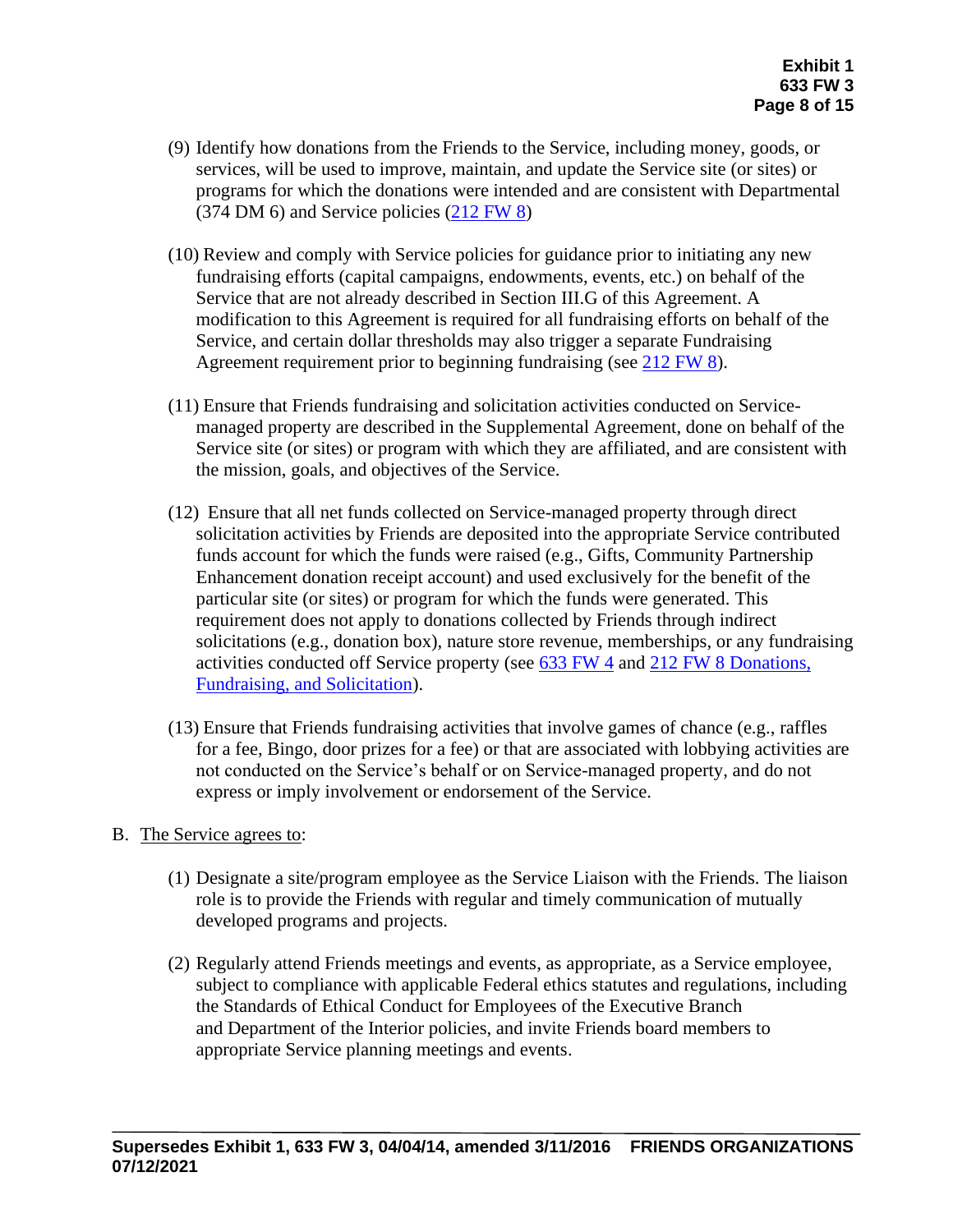- (9) Identify how donations from the Friends to the Service, including money, goods, or services, will be used to improve, maintain, and update the Service site (or sites) or programs for which the donations were intended and are consistent with Departmental (374 DM 6) and Service policies [\(212 FW 8\)](https://www.fws.gov/policy/212fw8.html)
- (10) Review and comply with Service policies for guidance prior to initiating any new fundraising efforts (capital campaigns, endowments, events, etc.) on behalf of the Service that are not already described in Section III.G of this Agreement. A modification to this Agreement is required for all fundraising efforts on behalf of the Service, and certain dollar thresholds may also trigger a separate Fundraising Agreement requirement prior to beginning fundraising (see [212 FW 8\)](https://www.fws.gov/policy/212fw8.html).
- (11) Ensure that Friends fundraising and solicitation activities conducted on Servicemanaged property are described in the Supplemental Agreement, done on behalf of the Service site (or sites) or program with which they are affiliated, and are consistent with the mission, goals, and objectives of the Service.
- (12) Ensure that all net funds collected on Service-managed property through direct solicitation activities by Friends are deposited into the appropriate Service contributed funds account for which the funds were raised (e.g., Gifts, Community Partnership Enhancement donation receipt account) and used exclusively for the benefit of the particular site (or sites) or program for which the funds were generated. This requirement does not apply to donations collected by Friends through indirect solicitations (e.g., donation box), nature store revenue, memberships, or any fundraising activities conducted off Service property (see [633 FW 4](https://www.fws.gov/policy/633fw4.html) and [212 FW 8 Donations,](https://www.fws.gov/policy/212fw8.html)  Fundraising, [and Solicitation\)](https://www.fws.gov/policy/212fw8.html).
- (13) Ensure that Friends fundraising activities that involve games of chance (e.g., raffles for a fee, Bingo, door prizes for a fee) or that are associated with lobbying activities are not conducted on the Service's behalf or on Service-managed property, and do not express or imply involvement or endorsement of the Service.
- B. The Service agrees to:
	- (1) Designate a site/program employee as the Service Liaison with the Friends. The liaison role is to provide the Friends with regular and timely communication of mutually developed programs and projects.
	- (2) Regularly attend Friends meetings and events, as appropriate, as a Service employee, subject to compliance with applicable Federal ethics statutes and regulations, including the Standards of Ethical Conduct for Employees of the Executive Branch and Department of the Interior policies, and invite Friends board members to appropriate Service planning meetings and events.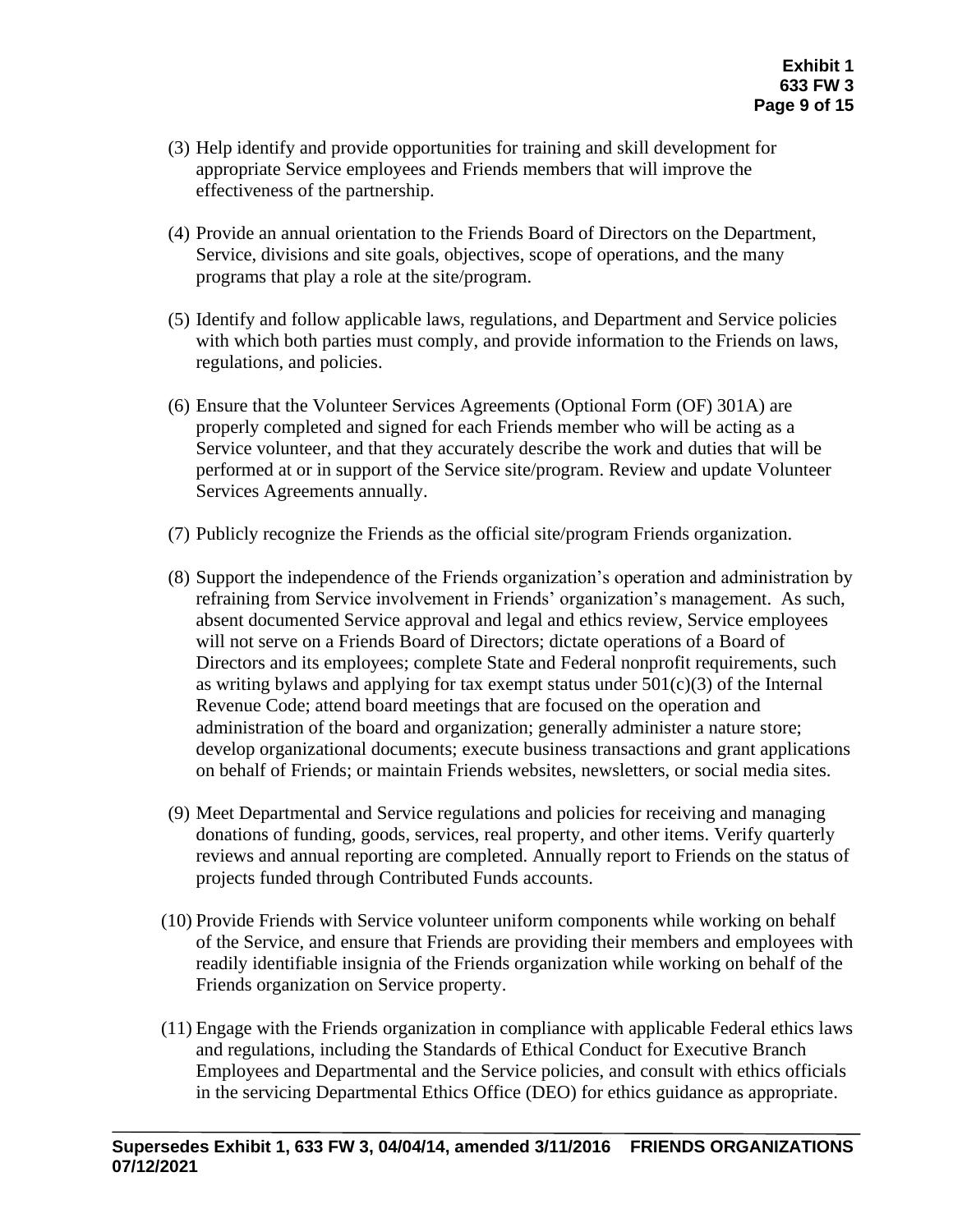- (3) Help identify and provide opportunities for training and skill development for appropriate Service employees and Friends members that will improve the effectiveness of the partnership.
- (4) Provide an annual orientation to the Friends Board of Directors on the Department, Service, divisions and site goals, objectives, scope of operations, and the many programs that play a role at the site/program.
- (5) Identify and follow applicable laws, regulations, and Department and Service policies with which both parties must comply, and provide information to the Friends on laws, regulations, and policies.
- (6) Ensure that the Volunteer Services Agreements (Optional Form (OF) 301A) are properly completed and signed for each Friends member who will be acting as a Service volunteer, and that they accurately describe the work and duties that will be performed at or in support of the Service site/program. Review and update Volunteer Services Agreements annually.
- (7) Publicly recognize the Friends as the official site/program Friends organization.
- (8) Support the independence of the Friends organization's operation and administration by refraining from Service involvement in Friends' organization's management. As such, absent documented Service approval and legal and ethics review, Service employees will not serve on a Friends Board of Directors; dictate operations of a Board of Directors and its employees; complete State and Federal nonprofit requirements, such as writing bylaws and applying for tax exempt status under  $501(c)(3)$  of the Internal Revenue Code; attend board meetings that are focused on the operation and administration of the board and organization; generally administer a nature store; develop organizational documents; execute business transactions and grant applications on behalf of Friends; or maintain Friends websites, newsletters, or social media sites.
- (9) Meet Departmental and Service regulations and policies for receiving and managing donations of funding, goods, services, real property, and other items. Verify quarterly reviews and annual reporting are completed. Annually report to Friends on the status of projects funded through Contributed Funds accounts.
- (10) Provide Friends with Service volunteer uniform components while working on behalf of the Service, and ensure that Friends are providing their members and employees with readily identifiable insignia of the Friends organization while working on behalf of the Friends organization on Service property.
- (11) Engage with the Friends organization in compliance with applicable Federal ethics laws and regulations, including the Standards of Ethical Conduct for Executive Branch Employees and Departmental and the Service policies, and consult with ethics officials in the servicing Departmental Ethics Office (DEO) for ethics guidance as appropriate.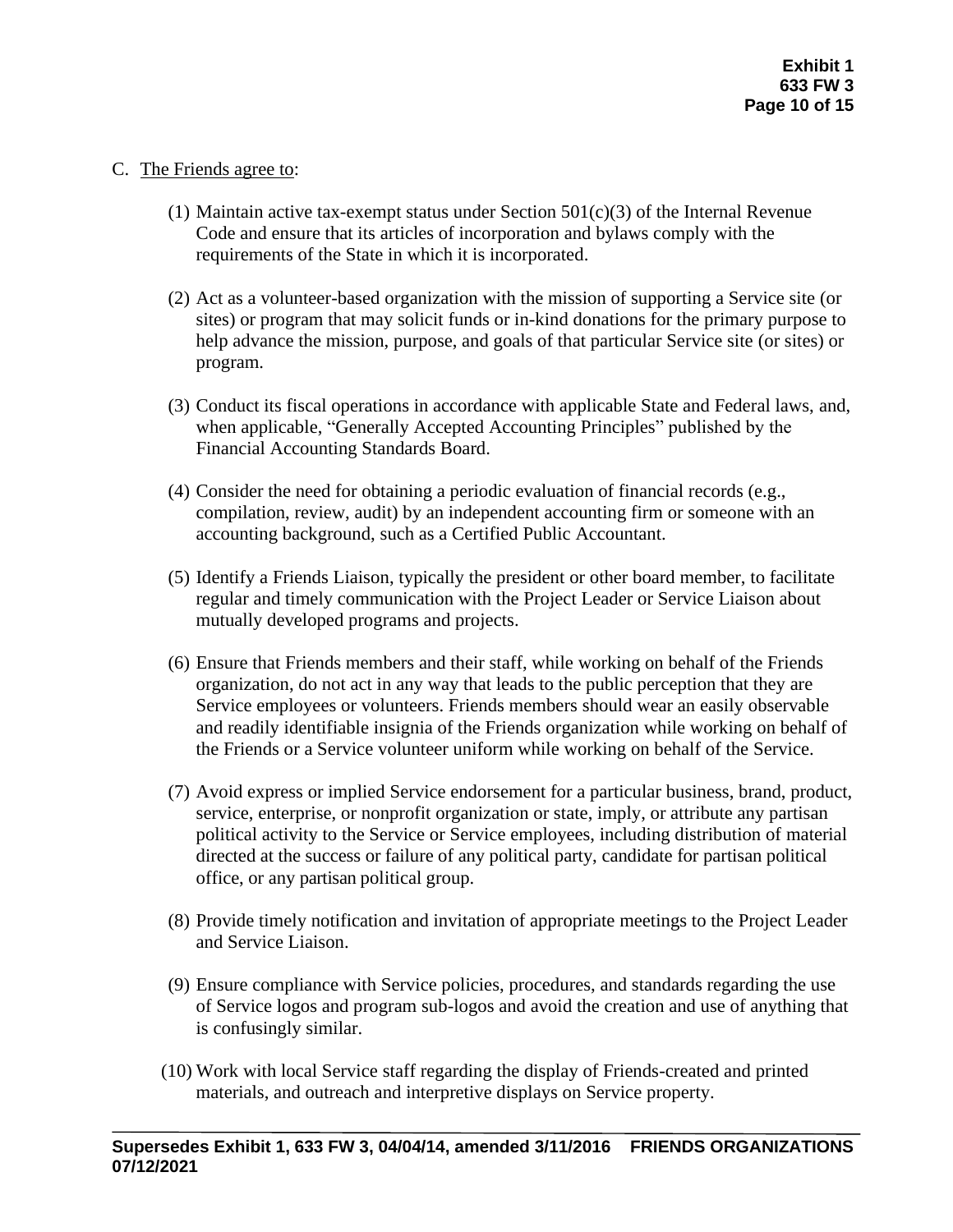### C. The Friends agree to:

- (1) Maintain active tax-exempt status under Section  $501(c)(3)$  of the Internal Revenue Code and ensure that its articles of incorporation and bylaws comply with the requirements of the State in which it is incorporated.
- (2) Act as a volunteer-based organization with the mission of supporting a Service site (or sites) or program that may solicit funds or in-kind donations for the primary purpose to help advance the mission, purpose, and goals of that particular Service site (or sites) or program.
- (3) Conduct its fiscal operations in accordance with applicable State and Federal laws, and, when applicable, "Generally Accepted Accounting Principles" published by the Financial Accounting Standards Board.
- (4) Consider the need for obtaining a periodic evaluation of financial records (e.g., compilation, review, audit) by an independent accounting firm or someone with an accounting background, such as a Certified Public Accountant.
- (5) Identify a Friends Liaison, typically the president or other board member, to facilitate regular and timely communication with the Project Leader or Service Liaison about mutually developed programs and projects.
- (6) Ensure that Friends members and their staff, while working on behalf of the Friends organization, do not act in any way that leads to the public perception that they are Service employees or volunteers. Friends members should wear an easily observable and readily identifiable insignia of the Friends organization while working on behalf of the Friends or a Service volunteer uniform while working on behalf of the Service.
- (7) Avoid express or implied Service endorsement for a particular business, brand, product, service, enterprise, or nonprofit organization or state, imply, or attribute any partisan political activity to the Service or Service employees, including distribution of material directed at the success or failure of any political party, candidate for partisan political office, or any partisan political group.
- (8) Provide timely notification and invitation of appropriate meetings to the Project Leader and Service Liaison.
- (9) Ensure compliance with Service policies, procedures, and standards regarding the use of Service logos and program sub-logos and avoid the creation and use of anything that is confusingly similar.
- (10) Work with local Service staff regarding the display of Friends-created and printed materials, and outreach and interpretive displays on Service property.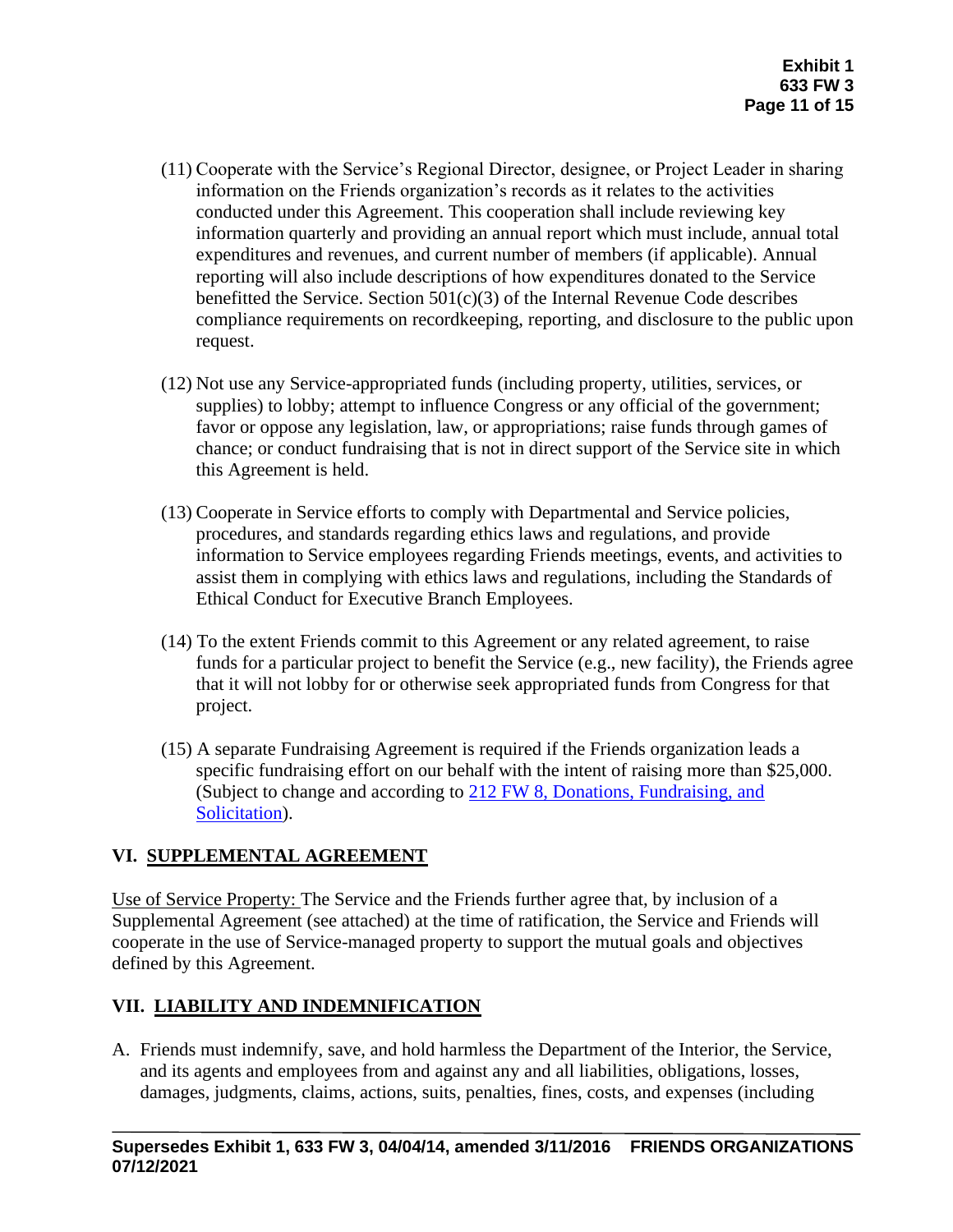- (11) Cooperate with the Service's Regional Director, designee, or Project Leader in sharing information on the Friends organization's records as it relates to the activities conducted under this Agreement. This cooperation shall include reviewing key information quarterly and providing an annual report which must include, annual total expenditures and revenues, and current number of members (if applicable). Annual reporting will also include descriptions of how expenditures donated to the Service benefitted the Service. Section  $501(c)(3)$  of the Internal Revenue Code describes compliance requirements on recordkeeping, reporting, and disclosure to the public upon request.
- (12) Not use any Service-appropriated funds (including property, utilities, services, or supplies) to lobby; attempt to influence Congress or any official of the government; favor or oppose any legislation, law, or appropriations; raise funds through games of chance; or conduct fundraising that is not in direct support of the Service site in which this Agreement is held.
- (13) Cooperate in Service efforts to comply with Departmental and Service policies, procedures, and standards regarding ethics laws and regulations, and provide information to Service employees regarding Friends meetings, events, and activities to assist them in complying with ethics laws and regulations, including the Standards of Ethical Conduct for Executive Branch Employees.
- (14) To the extent Friends commit to this Agreement or any related agreement, to raise funds for a particular project to benefit the Service (e.g., new facility), the Friends agree that it will not lobby for or otherwise seek appropriated funds from Congress for that project.
- (15) A separate Fundraising Agreement is required if the Friends organization leads a specific fundraising effort on our behalf with the intent of raising more than \$25,000. (Subject to change and according to 212 FW 8, [Donations, Fundraising, and](https://www.fws.gov/policy/212fw8.html)  [Solicitation\)](https://www.fws.gov/policy/212fw8.html).

# **VI. SUPPLEMENTAL AGREEMENT**

Use of Service Property: The Service and the Friends further agree that, by inclusion of a Supplemental Agreement (see attached) at the time of ratification, the Service and Friends will cooperate in the use of Service-managed property to support the mutual goals and objectives defined by this Agreement.

# **VII. LIABILITY AND INDEMNIFICATION**

A. Friends must indemnify, save, and hold harmless the Department of the Interior, the Service, and its agents and employees from and against any and all liabilities, obligations, losses, damages, judgments, claims, actions, suits, penalties, fines, costs, and expenses (including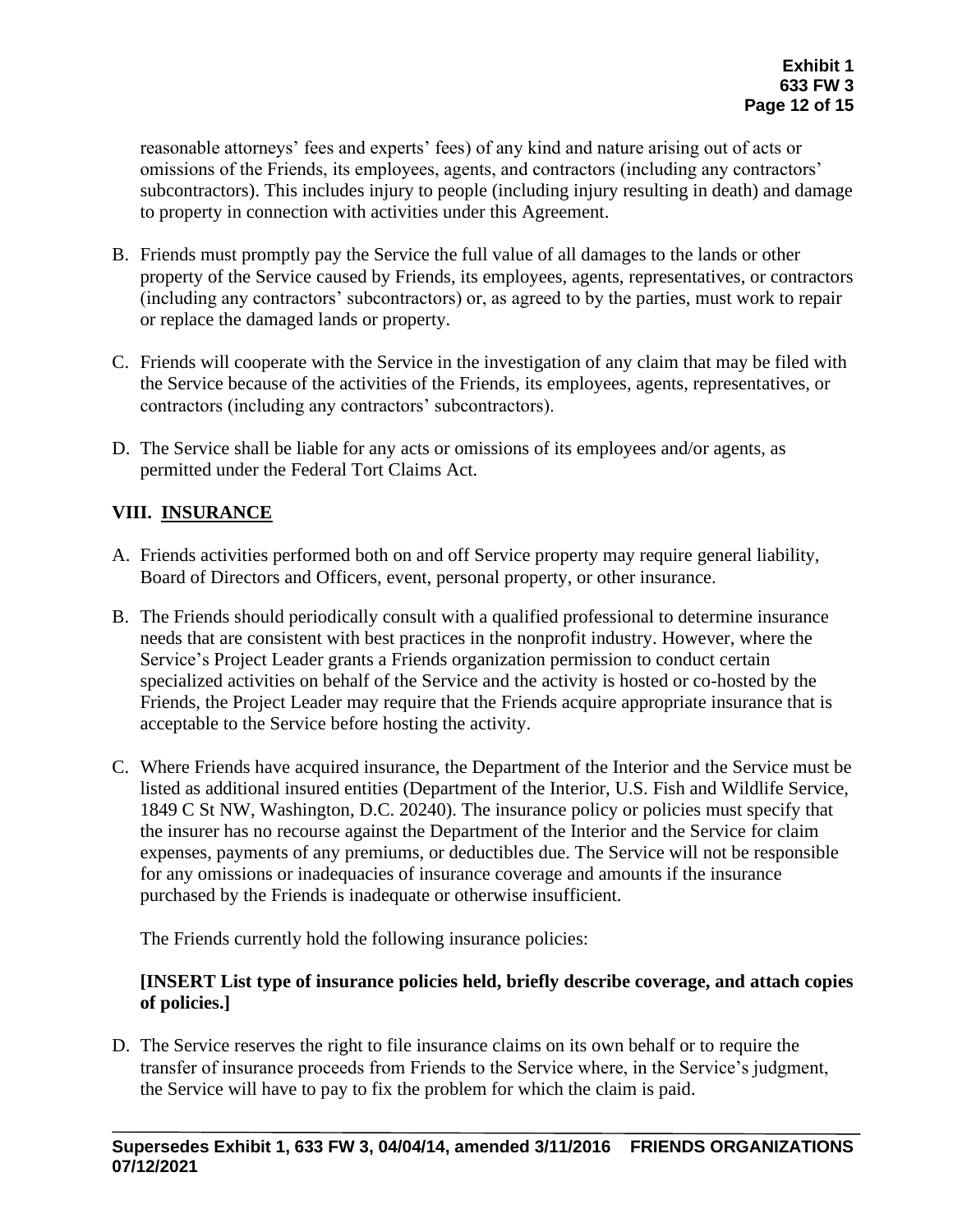reasonable attorneys' fees and experts' fees) of any kind and nature arising out of acts or omissions of the Friends, its employees, agents, and contractors (including any contractors' subcontractors). This includes injury to people (including injury resulting in death) and damage to property in connection with activities under this Agreement.

- B. Friends must promptly pay the Service the full value of all damages to the lands or other property of the Service caused by Friends, its employees, agents, representatives, or contractors (including any contractors' subcontractors) or, as agreed to by the parties, must work to repair or replace the damaged lands or property.
- C. Friends will cooperate with the Service in the investigation of any claim that may be filed with the Service because of the activities of the Friends, its employees, agents, representatives, or contractors (including any contractors' subcontractors).
- D. The Service shall be liable for any acts or omissions of its employees and/or agents, as permitted under the Federal Tort Claims Act.

# **VIII. INSURANCE**

- A. Friends activities performed both on and off Service property may require general liability, Board of Directors and Officers, event, personal property, or other insurance.
- B. The Friends should periodically consult with a qualified professional to determine insurance needs that are consistent with best practices in the nonprofit industry. However, where the Service's Project Leader grants a Friends organization permission to conduct certain specialized activities on behalf of the Service and the activity is hosted or co-hosted by the Friends, the Project Leader may require that the Friends acquire appropriate insurance that is acceptable to the Service before hosting the activity.
- C. Where Friends have acquired insurance, the Department of the Interior and the Service must be listed as additional insured entities (Department of the Interior, U.S. Fish and Wildlife Service, 1849 C St NW, Washington, D.C. 20240). The insurance policy or policies must specify that the insurer has no recourse against the Department of the Interior and the Service for claim expenses, payments of any premiums, or deductibles due. The Service will not be responsible for any omissions or inadequacies of insurance coverage and amounts if the insurance purchased by the Friends is inadequate or otherwise insufficient.

The Friends currently hold the following insurance policies:

## **[INSERT List type of insurance policies held, briefly describe coverage, and attach copies of policies.]**

D. The Service reserves the right to file insurance claims on its own behalf or to require the transfer of insurance proceeds from Friends to the Service where, in the Service's judgment, the Service will have to pay to fix the problem for which the claim is paid.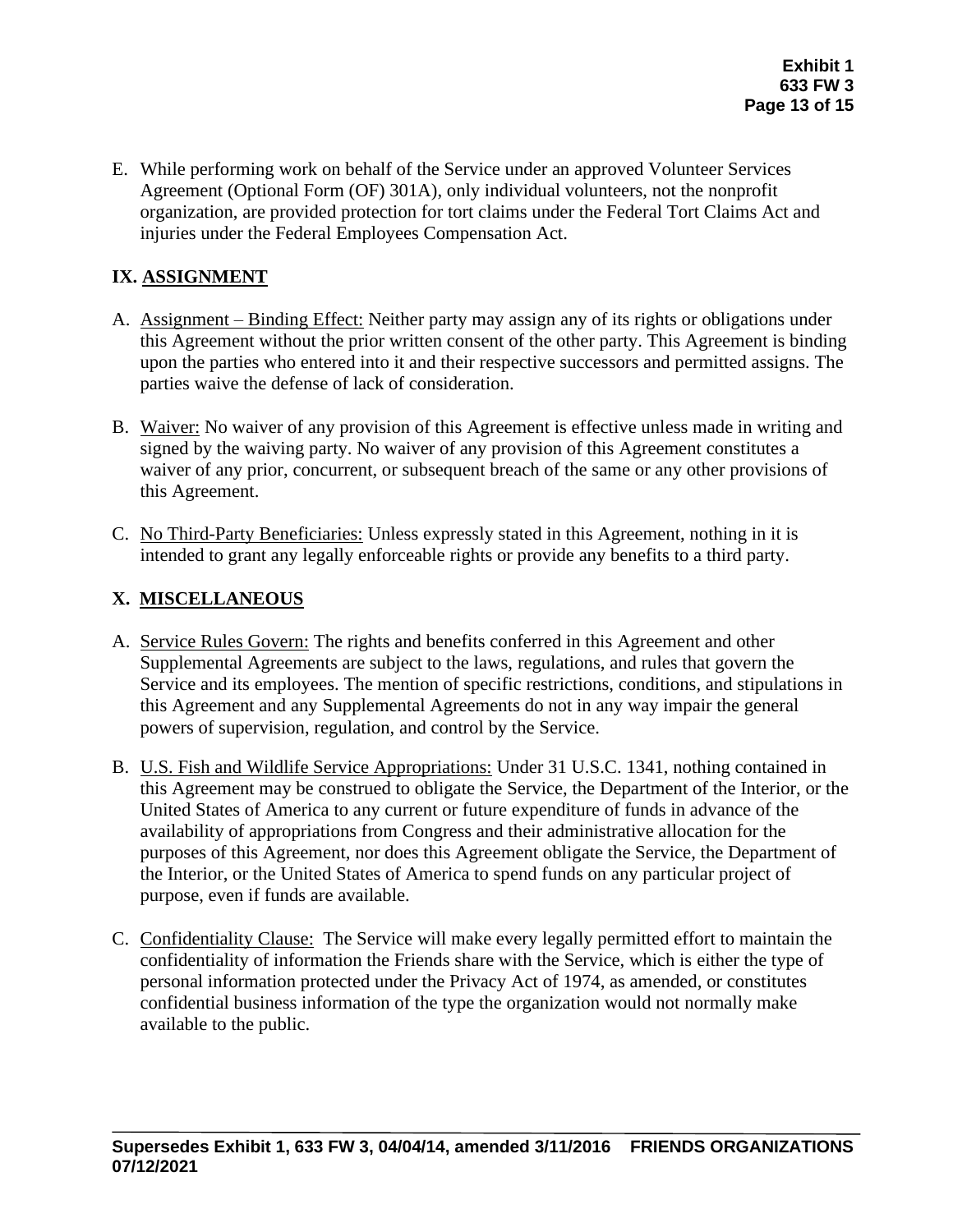E. While performing work on behalf of the Service under an approved Volunteer Services Agreement (Optional Form (OF) 301A), only individual volunteers, not the nonprofit organization, are provided protection for tort claims under the Federal Tort Claims Act and injuries under the Federal Employees Compensation Act.

# **IX. ASSIGNMENT**

- A. Assignment Binding Effect: Neither party may assign any of its rights or obligations under this Agreement without the prior written consent of the other party. This Agreement is binding upon the parties who entered into it and their respective successors and permitted assigns. The parties waive the defense of lack of consideration.
- B. Waiver: No waiver of any provision of this Agreement is effective unless made in writing and signed by the waiving party. No waiver of any provision of this Agreement constitutes a waiver of any prior, concurrent, or subsequent breach of the same or any other provisions of this Agreement.
- C. No Third-Party Beneficiaries: Unless expressly stated in this Agreement, nothing in it is intended to grant any legally enforceable rights or provide any benefits to a third party.

## **X. MISCELLANEOUS**

- A. Service Rules Govern: The rights and benefits conferred in this Agreement and other Supplemental Agreements are subject to the laws, regulations, and rules that govern the Service and its employees. The mention of specific restrictions, conditions, and stipulations in this Agreement and any Supplemental Agreements do not in any way impair the general powers of supervision, regulation, and control by the Service.
- B. U.S. Fish and Wildlife Service Appropriations: Under 31 U.S.C. 1341, nothing contained in this Agreement may be construed to obligate the Service, the Department of the Interior, or the United States of America to any current or future expenditure of funds in advance of the availability of appropriations from Congress and their administrative allocation for the purposes of this Agreement, nor does this Agreement obligate the Service, the Department of the Interior, or the United States of America to spend funds on any particular project of purpose, even if funds are available.
- C. Confidentiality Clause: The Service will make every legally permitted effort to maintain the confidentiality of information the Friends share with the Service, which is either the type of personal information protected under the Privacy Act of 1974, as amended, or constitutes confidential business information of the type the organization would not normally make available to the public.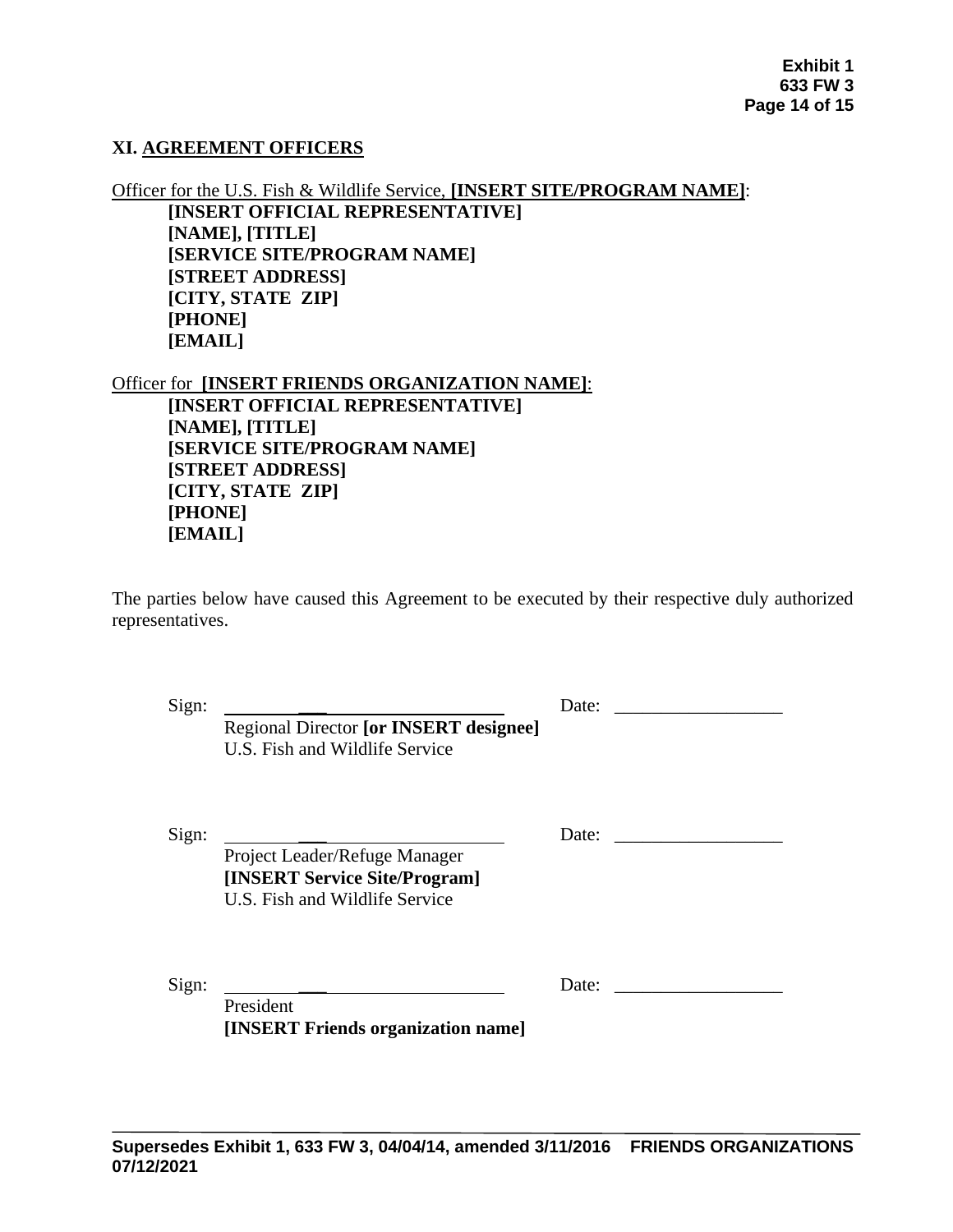### **XI. AGREEMENT OFFICERS**

Officer for the U.S. Fish & Wildlife Service, **[INSERT SITE/PROGRAM NAME]**: **[INSERT OFFICIAL REPRESENTATIVE] [NAME], [TITLE] [SERVICE SITE/PROGRAM NAME] [STREET ADDRESS] [CITY, STATE ZIP] [PHONE] [EMAIL]** 

Officer for **[INSERT FRIENDS ORGANIZATION NAME]**: **[INSERT OFFICIAL REPRESENTATIVE] [NAME], [TITLE] [SERVICE SITE/PROGRAM NAME] [STREET ADDRESS] [CITY, STATE ZIP] [PHONE] [EMAIL]** 

The parties below have caused this Agreement to be executed by their respective duly authorized representatives.

Sign: \_\_\_ Date: \_\_\_\_\_\_\_\_\_\_\_\_\_\_\_\_\_\_

Sign: \_\_\_ Date: \_\_\_\_\_\_\_\_\_\_\_\_\_\_\_\_\_\_

Project Leader/Refuge Manager **[INSERT Service Site/Program]** U.S. Fish and Wildlife Service

U.S. Fish and Wildlife Service

Regional Director **[or INSERT designee]**

Sign: \_\_\_ Date: \_\_\_\_\_\_\_\_\_\_\_\_\_\_\_\_\_\_

President **[INSERT Friends organization name]**